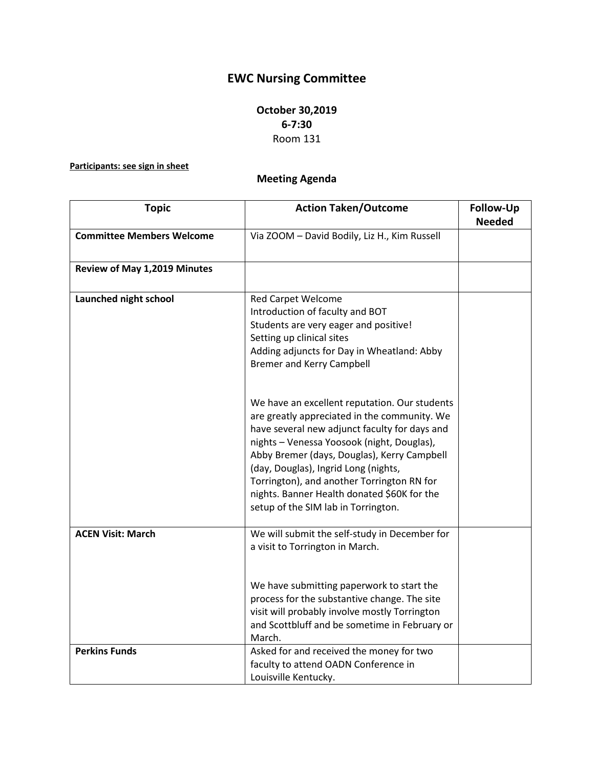## **EWC Nursing Committee**

## **October 30,2019 6-7:30** Room 131

## **Participants: see sign in sheet**

## **Meeting Agenda**

| <b>Topic</b>                     | <b>Action Taken/Outcome</b>                                                                                                                                                                                                                                                                                                                                                                                             | Follow-Up     |
|----------------------------------|-------------------------------------------------------------------------------------------------------------------------------------------------------------------------------------------------------------------------------------------------------------------------------------------------------------------------------------------------------------------------------------------------------------------------|---------------|
|                                  |                                                                                                                                                                                                                                                                                                                                                                                                                         | <b>Needed</b> |
| <b>Committee Members Welcome</b> | Via ZOOM - David Bodily, Liz H., Kim Russell                                                                                                                                                                                                                                                                                                                                                                            |               |
| Review of May 1,2019 Minutes     |                                                                                                                                                                                                                                                                                                                                                                                                                         |               |
| Launched night school            | <b>Red Carpet Welcome</b><br>Introduction of faculty and BOT<br>Students are very eager and positive!<br>Setting up clinical sites<br>Adding adjuncts for Day in Wheatland: Abby<br><b>Bremer and Kerry Campbell</b>                                                                                                                                                                                                    |               |
|                                  | We have an excellent reputation. Our students<br>are greatly appreciated in the community. We<br>have several new adjunct faculty for days and<br>nights - Venessa Yoosook (night, Douglas),<br>Abby Bremer (days, Douglas), Kerry Campbell<br>(day, Douglas), Ingrid Long (nights,<br>Torrington), and another Torrington RN for<br>nights. Banner Health donated \$60K for the<br>setup of the SIM lab in Torrington. |               |
| <b>ACEN Visit: March</b>         | We will submit the self-study in December for<br>a visit to Torrington in March.<br>We have submitting paperwork to start the<br>process for the substantive change. The site<br>visit will probably involve mostly Torrington<br>and Scottbluff and be sometime in February or<br>March.                                                                                                                               |               |
| <b>Perkins Funds</b>             | Asked for and received the money for two<br>faculty to attend OADN Conference in<br>Louisville Kentucky.                                                                                                                                                                                                                                                                                                                |               |